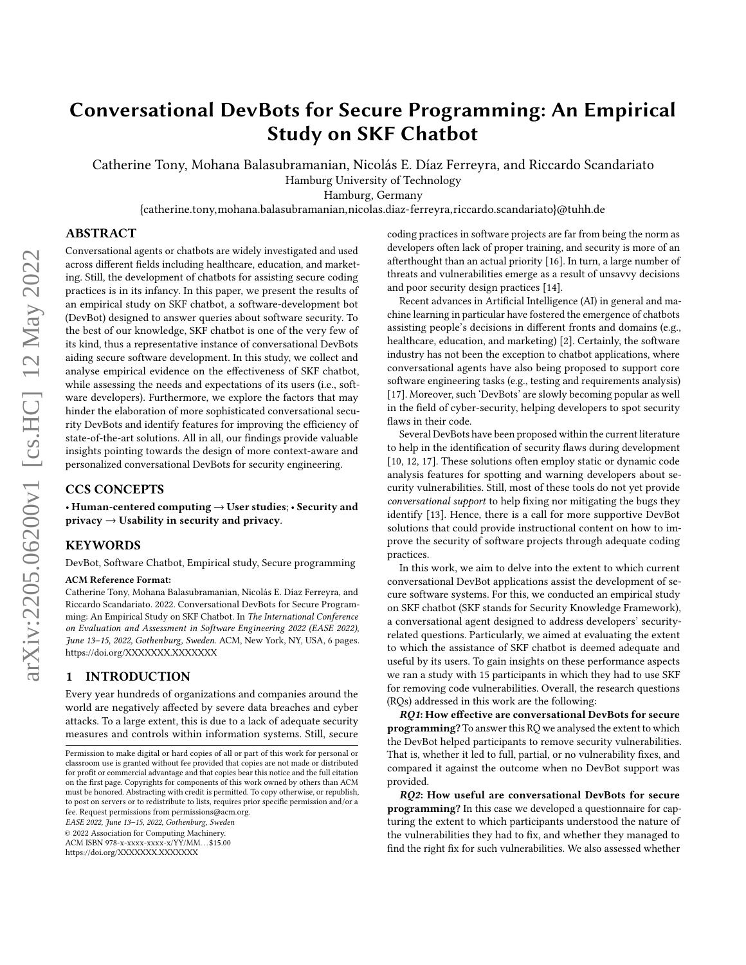# Conversational DevBots for Secure Programming: An Empirical Study on SKF Chatbot

Catherine Tony, Mohana Balasubramanian, Nicolás E. Díaz Ferreyra, and Riccardo Scandariato Hamburg University of Technology

Hamburg, Germany

{catherine.tony,mohana.balasubramanian,nicolas.diaz-ferreyra,riccardo.scandariato}@tuhh.de

## ABSTRACT

Conversational agents or chatbots are widely investigated and used across different fields including healthcare, education, and marketing. Still, the development of chatbots for assisting secure coding practices is in its infancy. In this paper, we present the results of an empirical study on SKF chatbot, a software-development bot (DevBot) designed to answer queries about software security. To the best of our knowledge, SKF chatbot is one of the very few of its kind, thus a representative instance of conversational DevBots aiding secure software development. In this study, we collect and analyse empirical evidence on the effectiveness of SKF chatbot, while assessing the needs and expectations of its users (i.e., software developers). Furthermore, we explore the factors that may hinder the elaboration of more sophisticated conversational security DevBots and identify features for improving the efficiency of state-of-the-art solutions. All in all, our findings provide valuable insights pointing towards the design of more context-aware and personalized conversational DevBots for security engineering.

## CCS CONCEPTS

• Human-centered computing  $\rightarrow$  User studies; • Security and  $\text{privacy} \rightarrow \text{Usability in security and privacy.}$ 

# KEYWORDS

DevBot, Software Chatbot, Empirical study, Secure programming

#### ACM Reference Format:

Catherine Tony, Mohana Balasubramanian, Nicolás E. Díaz Ferreyra, and Riccardo Scandariato. 2022. Conversational DevBots for Secure Programming: An Empirical Study on SKF Chatbot. In The International Conference on Evaluation and Assessment in Software Engineering 2022 (EASE 2022), June 13–15, 2022, Gothenburg, Sweden. ACM, New York, NY, USA, [6](#page-5-0) pages. <https://doi.org/XXXXXXX.XXXXXXX>

# 1 INTRODUCTION

Every year hundreds of organizations and companies around the world are negatively affected by severe data breaches and cyber attacks. To a large extent, this is due to a lack of adequate security measures and controls within information systems. Still, secure

EASE 2022, June 13–15, 2022, Gothenburg, Sweden

ACM ISBN 978-x-xxxx-xxxx-x/YY/MM. . . \$15.00

<https://doi.org/XXXXXXX.XXXXXXX>

coding practices in software projects are far from being the norm as developers often lack of proper training, and security is more of an afterthought than an actual priority [\[16\]](#page-5-1). In turn, a large number of threats and vulnerabilities emerge as a result of unsavvy decisions and poor security design practices [\[14\]](#page-5-2).

Recent advances in Artificial Intelligence (AI) in general and machine learning in particular have fostered the emergence of chatbots assisting people's decisions in different fronts and domains (e.g., healthcare, education, and marketing) [\[2\]](#page-5-3). Certainly, the software industry has not been the exception to chatbot applications, where conversational agents have also being proposed to support core software engineering tasks (e.g., testing and requirements analysis) [\[17\]](#page-5-4). Moreover, such 'DevBots' are slowly becoming popular as well in the field of cyber-security, helping developers to spot security flaws in their code.

Several DevBots have been proposed within the current literature to help in the identification of security flaws during development [\[10,](#page-5-5) [12,](#page-5-6) [17\]](#page-5-4). These solutions often employ static or dynamic code analysis features for spotting and warning developers about security vulnerabilities. Still, most of these tools do not yet provide conversational support to help fixing nor mitigating the bugs they identify [\[13\]](#page-5-7). Hence, there is a call for more supportive DevBot solutions that could provide instructional content on how to improve the security of software projects through adequate coding practices.

In this work, we aim to delve into the extent to which current conversational DevBot applications assist the development of secure software systems. For this, we conducted an empirical study on SKF chatbot (SKF stands for Security Knowledge Framework), a conversational agent designed to address developers' securityrelated questions. Particularly, we aimed at evaluating the extent to which the assistance of SKF chatbot is deemed adequate and useful by its users. To gain insights on these performance aspects we ran a study with 15 participants in which they had to use SKF for removing code vulnerabilities. Overall, the research questions (RQs) addressed in this work are the following:

RQ1: How effective are conversational DevBots for secure programming? To answer this RQ we analysed the extent to which the DevBot helped participants to remove security vulnerabilities. That is, whether it led to full, partial, or no vulnerability fixes, and compared it against the outcome when no DevBot support was provided.

RQ2: How useful are conversational DevBots for secure programming? In this case we developed a questionnaire for capturing the extent to which participants understood the nature of the vulnerabilities they had to fix, and whether they managed to find the right fix for such vulnerabilities. We also assessed whether

Permission to make digital or hard copies of all or part of this work for personal or classroom use is granted without fee provided that copies are not made or distributed for profit or commercial advantage and that copies bear this notice and the full citation on the first page. Copyrights for components of this work owned by others than ACM must be honored. Abstracting with credit is permitted. To copy otherwise, or republish, to post on servers or to redistribute to lists, requires prior specific permission and/or a fee. Request permissions from permissions@acm.org.

<sup>©</sup> 2022 Association for Computing Machinery.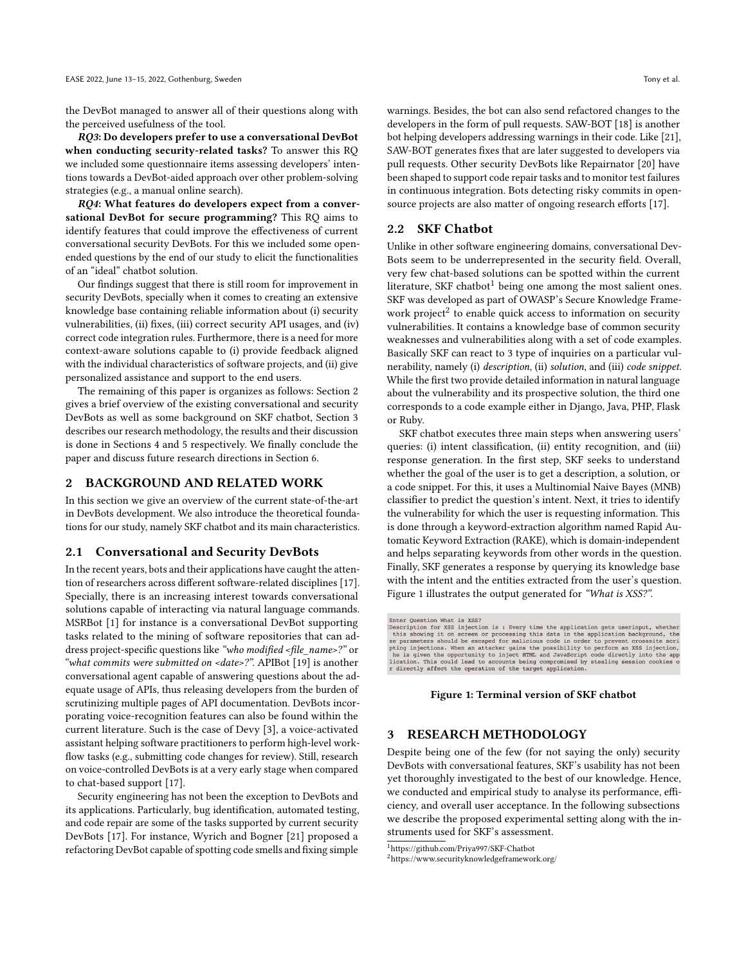the DevBot managed to answer all of their questions along with the perceived usefulness of the tool.

RQ3: Do developers prefer to use a conversational DevBot when conducting security-related tasks? To answer this RQ we included some questionnaire items assessing developers' intentions towards a DevBot-aided approach over other problem-solving strategies (e.g., a manual online search).

RQ4: What features do developers expect from a conversational DevBot for secure programming? This RQ aims to identify features that could improve the effectiveness of current conversational security DevBots. For this we included some openended questions by the end of our study to elicit the functionalities of an "ideal" chatbot solution.

Our findings suggest that there is still room for improvement in security DevBots, specially when it comes to creating an extensive knowledge base containing reliable information about (i) security vulnerabilities, (ii) fixes, (iii) correct security API usages, and (iv) correct code integration rules. Furthermore, there is a need for more context-aware solutions capable to (i) provide feedback aligned with the individual characteristics of software projects, and (ii) give personalized assistance and support to the end users.

The remaining of this paper is organizes as follows: Section [2](#page-1-0) gives a brief overview of the existing conversational and security DevBots as well as some background on SKF chatbot, Section [3](#page-1-1) describes our research methodology, the results and their discussion is done in Sections [4](#page-2-0) and [5](#page-3-0) respectively. We finally conclude the paper and discuss future research directions in Section [6.](#page-5-8)

## <span id="page-1-0"></span>2 BACKGROUND AND RELATED WORK

In this section we give an overview of the current state-of-the-art in DevBots development. We also introduce the theoretical foundations for our study, namely SKF chatbot and its main characteristics.

#### 2.1 Conversational and Security DevBots

In the recent years, bots and their applications have caught the attention of researchers across different software-related disciplines [\[17\]](#page-5-4). Specially, there is an increasing interest towards conversational solutions capable of interacting via natural language commands. MSRBot [\[1\]](#page-5-9) for instance is a conversational DevBot supporting tasks related to the mining of software repositories that can address project-specific questions like "who modified <file\_name>?" or "what commits were submitted on <date>?". APIBot [\[19\]](#page-5-10) is another conversational agent capable of answering questions about the adequate usage of APIs, thus releasing developers from the burden of scrutinizing multiple pages of API documentation. DevBots incorporating voice-recognition features can also be found within the current literature. Such is the case of Devy [\[3\]](#page-5-11), a voice-activated assistant helping software practitioners to perform high-level workflow tasks (e.g., submitting code changes for review). Still, research on voice-controlled DevBots is at a very early stage when compared to chat-based support [\[17\]](#page-5-4).

Security engineering has not been the exception to DevBots and its applications. Particularly, bug identification, automated testing, and code repair are some of the tasks supported by current security DevBots [\[17\]](#page-5-4). For instance, Wyrich and Bogner [\[21\]](#page-5-12) proposed a refactoring DevBot capable of spotting code smells and fixing simple

warnings. Besides, the bot can also send refactored changes to the developers in the form of pull requests. SAW-BOT [\[18\]](#page-5-13) is another bot helping developers addressing warnings in their code. Like [\[21\]](#page-5-12),

SAW-BOT generates fixes that are later suggested to developers via pull requests. Other security DevBots like Repairnator [\[20\]](#page-5-14) have been shaped to support code repair tasks and to monitor test failures in continuous integration. Bots detecting risky commits in opensource projects are also matter of ongoing research efforts [\[17\]](#page-5-4).

# 2.2 SKF Chatbot

Unlike in other software engineering domains, conversational Dev-Bots seem to be underrepresented in the security field. Overall, very few chat-based solutions can be spotted within the current literature, SKF chatbot<sup>[1](#page-1-2)</sup> being one among the most salient ones. SKF was developed as part of OWASP's Secure Knowledge Frame-work project<sup>[2](#page-1-3)</sup> to enable quick access to information on security vulnerabilities. It contains a knowledge base of common security weaknesses and vulnerabilities along with a set of code examples. Basically SKF can react to 3 type of inquiries on a particular vulnerability, namely (i) description, (ii) solution, and (iii) code snippet. While the first two provide detailed information in natural language about the vulnerability and its prospective solution, the third one corresponds to a code example either in Django, Java, PHP, Flask or Ruby.

SKF chatbot executes three main steps when answering users' queries: (i) intent classification, (ii) entity recognition, and (iii) response generation. In the first step, SKF seeks to understand whether the goal of the user is to get a description, a solution, or a code snippet. For this, it uses a Multinomial Naive Bayes (MNB) classifier to predict the question's intent. Next, it tries to identify the vulnerability for which the user is requesting information. This is done through a keyword-extraction algorithm named Rapid Automatic Keyword Extraction (RAKE), which is domain-independent and helps separating keywords from other words in the question. Finally, SKF generates a response by querying its knowledge base with the intent and the entities extracted from the user's question. [Figure 1](#page-1-4) illustrates the output generated for "What is XSS?".

<span id="page-1-4"></span>Enter Question What is XSS?<br>
Description for XSS injection is : Every time the application gets useringut, whether<br>
this showing it on screen or processing this data in the application background, the<br>
se parameters should plures is given the opportunity to inject HTML and JavaScript code directly into the app<br>lication. This could lead to accounts being compromised by stealing session cookies o<br>lication. This could lead to accounts being com

#### Figure 1: Terminal version of SKF chatbot

## <span id="page-1-1"></span>3 RESEARCH METHODOLOGY

Despite being one of the few (for not saying the only) security DevBots with conversational features, SKF's usability has not been yet thoroughly investigated to the best of our knowledge. Hence, we conducted and empirical study to analyse its performance, efficiency, and overall user acceptance. In the following subsections we describe the proposed experimental setting along with the instruments used for SKF's assessment.

<span id="page-1-2"></span><sup>1</sup>https://github.com/Priya997/SKF-Chatbot

<span id="page-1-3"></span><sup>2</sup>https://www.securityknowledgeframework.org/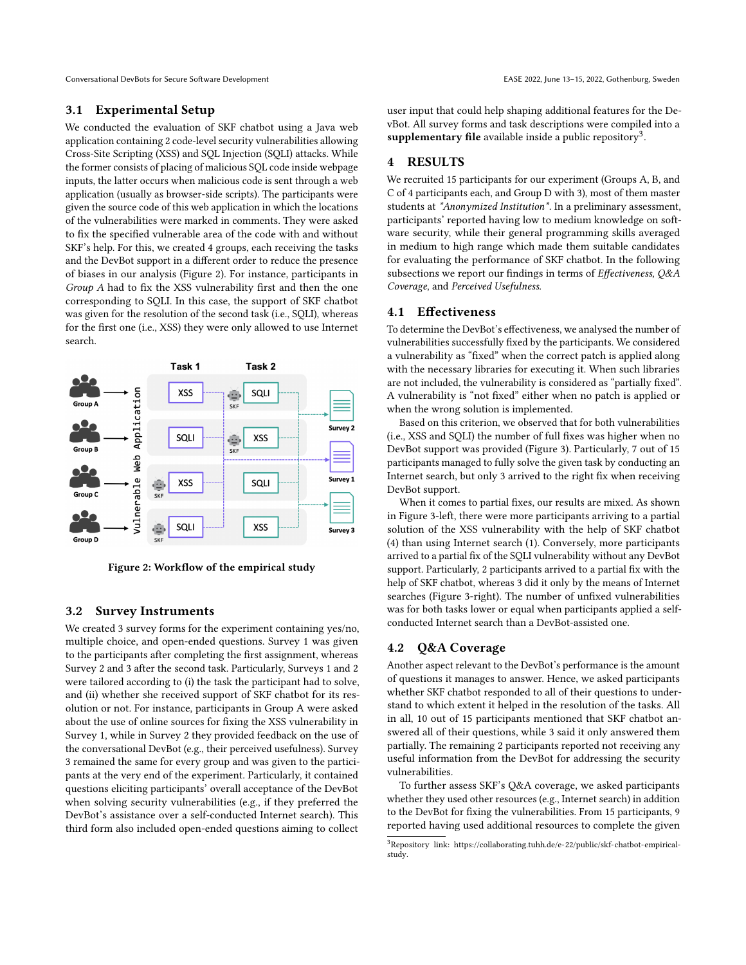Conversational DevBots for Secure Software Development Conversational DevBots for Secure Software Development Conversational DevBots for Secure Software Development

## 3.1 Experimental Setup

We conducted the evaluation of SKF chatbot using a Java web application containing 2 code-level security vulnerabilities allowing Cross-Site Scripting (XSS) and SQL Injection (SQLI) attacks. While the former consists of placing of malicious SQL code inside webpage inputs, the latter occurs when malicious code is sent through a web application (usually as browser-side scripts). The participants were given the source code of this web application in which the locations of the vulnerabilities were marked in comments. They were asked to fix the specified vulnerable area of the code with and without SKF's help. For this, we created 4 groups, each receiving the tasks and the DevBot support in a different order to reduce the presence of biases in our analysis [\(Figure 2\)](#page-2-1). For instance, participants in Group A had to fix the XSS vulnerability first and then the one corresponding to SQLI. In this case, the support of SKF chatbot was given for the resolution of the second task (i.e., SQLI), whereas for the first one (i.e., XSS) they were only allowed to use Internet search.

<span id="page-2-1"></span>

Figure 2: Workflow of the empirical study

# 3.2 Survey Instruments

We created 3 survey forms for the experiment containing yes/no, multiple choice, and open-ended questions. Survey 1 was given to the participants after completing the first assignment, whereas Survey 2 and 3 after the second task. Particularly, Surveys 1 and 2 were tailored according to (i) the task the participant had to solve, and (ii) whether she received support of SKF chatbot for its resolution or not. For instance, participants in Group A were asked about the use of online sources for fixing the XSS vulnerability in Survey 1, while in Survey 2 they provided feedback on the use of the conversational DevBot (e.g., their perceived usefulness). Survey 3 remained the same for every group and was given to the participants at the very end of the experiment. Particularly, it contained questions eliciting participants' overall acceptance of the DevBot when solving security vulnerabilities (e.g., if they preferred the DevBot's assistance over a self-conducted Internet search). This third form also included open-ended questions aiming to collect

user input that could help shaping additional features for the DevBot. All survey forms and task descriptions were compiled into a supplementary file available inside a public repository<sup>[3](#page-2-2)</sup>.

# <span id="page-2-0"></span>4 RESULTS

We recruited 15 participants for our experiment (Groups A, B, and C of 4 participants each, and Group D with 3), most of them master students at \*Anonymized Institution\*. In a preliminary assessment, participants' reported having low to medium knowledge on software security, while their general programming skills averaged in medium to high range which made them suitable candidates for evaluating the performance of SKF chatbot. In the following subsections we report our findings in terms of Effectiveness, Q&A Coverage, and Perceived Usefulness.

## 4.1 Effectiveness

To determine the DevBot's effectiveness, we analysed the number of vulnerabilities successfully fixed by the participants. We considered a vulnerability as "fixed" when the correct patch is applied along with the necessary libraries for executing it. When such libraries are not included, the vulnerability is considered as "partially fixed". A vulnerability is "not fixed" either when no patch is applied or when the wrong solution is implemented.

Based on this criterion, we observed that for both vulnerabilities (i.e., XSS and SQLI) the number of full fixes was higher when no DevBot support was provided [\(Figure 3\)](#page-3-1). Particularly, 7 out of 15 participants managed to fully solve the given task by conducting an Internet search, but only 3 arrived to the right fix when receiving DevBot support.

When it comes to partial fixes, our results are mixed. As shown in [Figure 3-](#page-3-1)left, there were more participants arriving to a partial solution of the XSS vulnerability with the help of SKF chatbot (4) than using Internet search (1). Conversely, more participants arrived to a partial fix of the SQLI vulnerability without any DevBot support. Particularly, 2 participants arrived to a partial fix with the help of SKF chatbot, whereas 3 did it only by the means of Internet searches [\(Figure 3-](#page-3-1)right). The number of unfixed vulnerabilities was for both tasks lower or equal when participants applied a selfconducted Internet search than a DevBot-assisted one.

## <span id="page-2-3"></span>4.2 Q&A Coverage

Another aspect relevant to the DevBot's performance is the amount of questions it manages to answer. Hence, we asked participants whether SKF chatbot responded to all of their questions to understand to which extent it helped in the resolution of the tasks. All in all, 10 out of 15 participants mentioned that SKF chatbot answered all of their questions, while 3 said it only answered them partially. The remaining 2 participants reported not receiving any useful information from the DevBot for addressing the security vulnerabilities.

To further assess SKF's Q&A coverage, we asked participants whether they used other resources (e.g., Internet search) in addition to the DevBot for fixing the vulnerabilities. From 15 participants, 9 reported having used additional resources to complete the given

<span id="page-2-2"></span><sup>3</sup>Repository link: [https://collaborating.tuhh.de/e-22/public/skf-chatbot-empirical](https://collaborating.tuhh.de/e-22/public/skf-chatbot-empirical-study)[study.](https://collaborating.tuhh.de/e-22/public/skf-chatbot-empirical-study)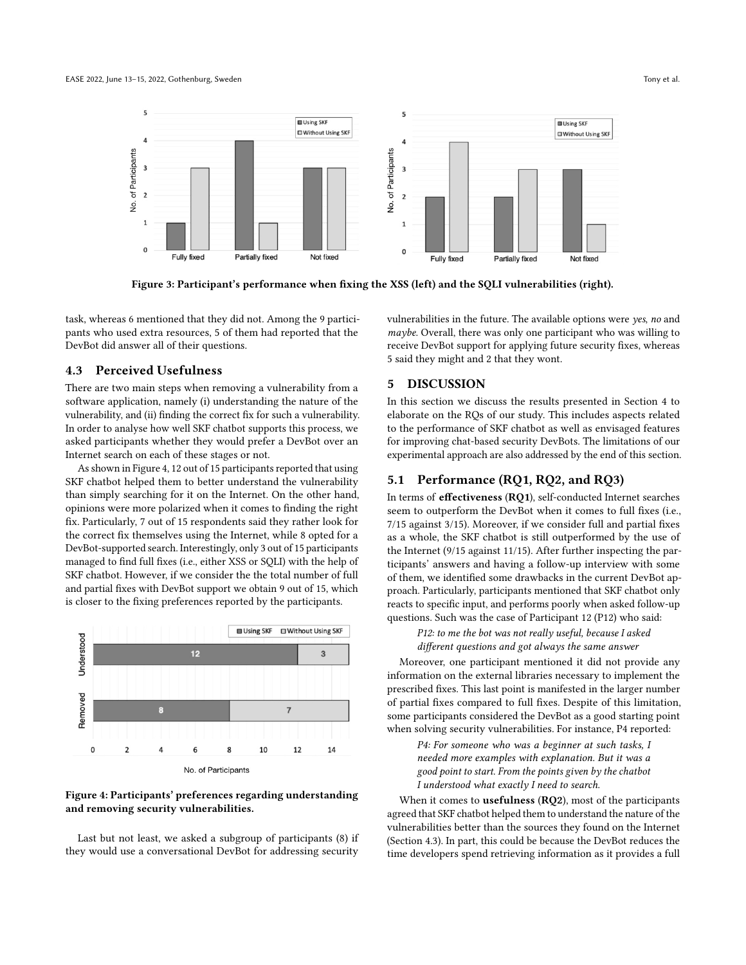#### <span id="page-3-1"></span>EASE 2022, June 13-15, 2022, Gothenburg, Sweden Tony et al. and the state of the state of the state of the state of the state of the state of the state of the state of the state of the state of the state of the state of th



Figure 3: Participant's performance when fixing the XSS (left) and the SQLI vulnerabilities (right).

task, whereas 6 mentioned that they did not. Among the 9 participants who used extra resources, 5 of them had reported that the DevBot did answer all of their questions.

# <span id="page-3-3"></span>4.3 Perceived Usefulness

There are two main steps when removing a vulnerability from a software application, namely (i) understanding the nature of the vulnerability, and (ii) finding the correct fix for such a vulnerability. In order to analyse how well SKF chatbot supports this process, we asked participants whether they would prefer a DevBot over an Internet search on each of these stages or not.

As shown in Figure [4,](#page-3-2) 12 out of 15 participants reported that using SKF chatbot helped them to better understand the vulnerability than simply searching for it on the Internet. On the other hand, opinions were more polarized when it comes to finding the right fix. Particularly, 7 out of 15 respondents said they rather look for the correct fix themselves using the Internet, while 8 opted for a DevBot-supported search. Interestingly, only 3 out of 15 participants managed to find full fixes (i.e., either XSS or SQLI) with the help of SKF chatbot. However, if we consider the the total number of full and partial fixes with DevBot support we obtain 9 out of 15, which is closer to the fixing preferences reported by the participants.

<span id="page-3-2"></span>

Figure 4: Participants' preferences regarding understanding and removing security vulnerabilities.

Last but not least, we asked a subgroup of participants (8) if they would use a conversational DevBot for addressing security

vulnerabilities in the future. The available options were yes, no and maybe. Overall, there was only one participant who was willing to receive DevBot support for applying future security fixes, whereas 5 said they might and 2 that they wont.

# <span id="page-3-0"></span>5 DISCUSSION

In this section we discuss the results presented in Section [4](#page-2-0) to elaborate on the RQs of our study. This includes aspects related to the performance of SKF chatbot as well as envisaged features for improving chat-based security DevBots. The limitations of our experimental approach are also addressed by the end of this section.

## 5.1 Performance (RQ1, RQ2, and RQ3)

In terms of effectiveness (RQ1), self-conducted Internet searches seem to outperform the DevBot when it comes to full fixes (i.e., 7/15 against 3/15). Moreover, if we consider full and partial fixes as a whole, the SKF chatbot is still outperformed by the use of the Internet (9/15 against 11/15). After further inspecting the participants' answers and having a follow-up interview with some of them, we identified some drawbacks in the current DevBot approach. Particularly, participants mentioned that SKF chatbot only reacts to specific input, and performs poorly when asked follow-up questions. Such was the case of Participant 12 (P12) who said:

P12: to me the bot was not really useful, because I asked different questions and got always the same answer

Moreover, one participant mentioned it did not provide any information on the external libraries necessary to implement the prescribed fixes. This last point is manifested in the larger number of partial fixes compared to full fixes. Despite of this limitation, some participants considered the DevBot as a good starting point when solving security vulnerabilities. For instance, P4 reported:

> P4: For someone who was a beginner at such tasks, I needed more examples with explanation. But it was a good point to start. From the points given by the chatbot I understood what exactly I need to search.

When it comes to **usefulness** (RQ2), most of the participants agreed that SKF chatbot helped them to understand the nature of the vulnerabilities better than the sources they found on the Internet (Section [4.3\)](#page-3-3). In part, this could be because the DevBot reduces the time developers spend retrieving information as it provides a full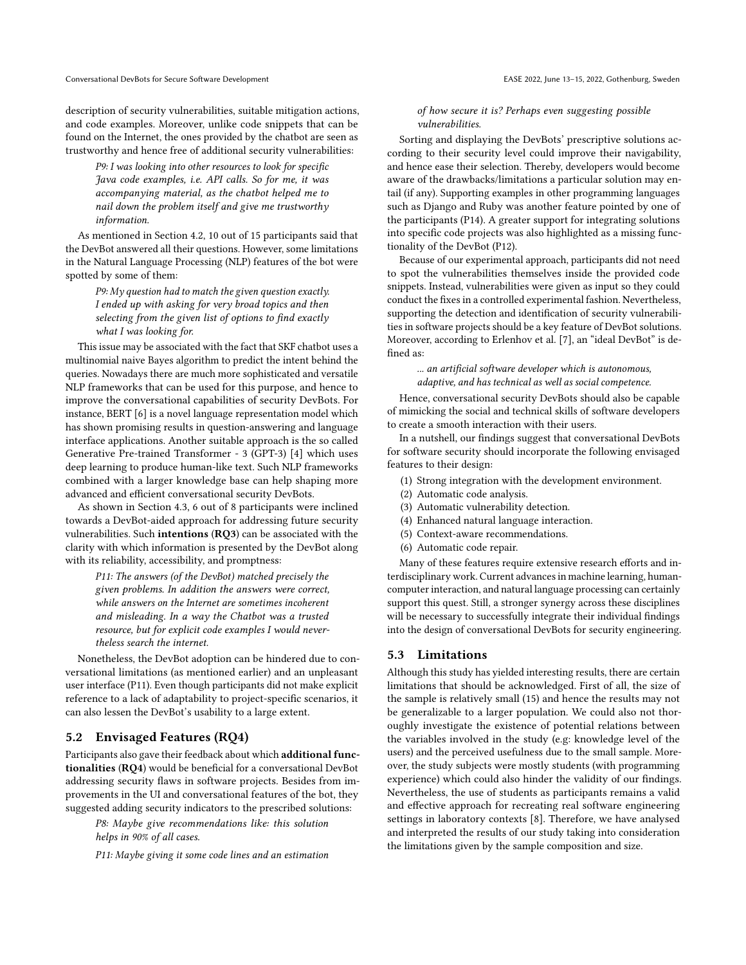Conversational DevBots for Secure Software Development Conversational DevBots for Secure Software Development Conversational DevBots for Secure Software Development

description of security vulnerabilities, suitable mitigation actions, and code examples. Moreover, unlike code snippets that can be found on the Internet, the ones provided by the chatbot are seen as trustworthy and hence free of additional security vulnerabilities:

P9: I was looking into other resources to look for specific Java code examples, i.e. API calls. So for me, it was accompanying material, as the chatbot helped me to nail down the problem itself and give me trustworthy information.

As mentioned in Section [4.2,](#page-2-3) 10 out of 15 participants said that the DevBot answered all their questions. However, some limitations in the Natural Language Processing (NLP) features of the bot were spotted by some of them:

P9: My question had to match the given question exactly. I ended up with asking for very broad topics and then selecting from the given list of options to find exactly what I was looking for.

This issue may be associated with the fact that SKF chatbot uses a multinomial naive Bayes algorithm to predict the intent behind the queries. Nowadays there are much more sophisticated and versatile NLP frameworks that can be used for this purpose, and hence to improve the conversational capabilities of security DevBots. For instance, BERT [\[6\]](#page-5-15) is a novel language representation model which has shown promising results in question-answering and language interface applications. Another suitable approach is the so called Generative Pre-trained Transformer - 3 (GPT-3) [\[4\]](#page-5-16) which uses deep learning to produce human-like text. Such NLP frameworks combined with a larger knowledge base can help shaping more advanced and efficient conversational security DevBots.

As shown in Section [4.3,](#page-3-3) 6 out of 8 participants were inclined towards a DevBot-aided approach for addressing future security vulnerabilities. Such intentions (RQ3) can be associated with the clarity with which information is presented by the DevBot along with its reliability, accessibility, and promptness:

P11: The answers (of the DevBot) matched precisely the given problems. In addition the answers were correct, while answers on the Internet are sometimes incoherent and misleading. In a way the Chatbot was a trusted resource, but for explicit code examples I would nevertheless search the internet.

Nonetheless, the DevBot adoption can be hindered due to conversational limitations (as mentioned earlier) and an unpleasant user interface (P11). Even though participants did not make explicit reference to a lack of adaptability to project-specific scenarios, it can also lessen the DevBot's usability to a large extent.

# 5.2 Envisaged Features (RQ4)

Participants also gave their feedback about which additional functionalities (RQ4) would be beneficial for a conversational DevBot addressing security flaws in software projects. Besides from improvements in the UI and conversational features of the bot, they suggested adding security indicators to the prescribed solutions:

P8: Maybe give recommendations like: this solution helps in 90% of all cases.

P11: Maybe giving it some code lines and an estimation

#### of how secure it is? Perhaps even suggesting possible vulnerabilities.

Sorting and displaying the DevBots' prescriptive solutions according to their security level could improve their navigability, and hence ease their selection. Thereby, developers would become aware of the drawbacks/limitations a particular solution may entail (if any). Supporting examples in other programming languages such as Django and Ruby was another feature pointed by one of the participants (P14). A greater support for integrating solutions into specific code projects was also highlighted as a missing functionality of the DevBot (P12).

Because of our experimental approach, participants did not need to spot the vulnerabilities themselves inside the provided code snippets. Instead, vulnerabilities were given as input so they could conduct the fixes in a controlled experimental fashion. Nevertheless, supporting the detection and identification of security vulnerabilities in software projects should be a key feature of DevBot solutions. Moreover, according to Erlenhov et al. [\[7\]](#page-5-17), an "ideal DevBot" is defined as:

#### ... an artificial software developer which is autonomous, adaptive, and has technical as well as social competence.

Hence, conversational security DevBots should also be capable of mimicking the social and technical skills of software developers to create a smooth interaction with their users.

In a nutshell, our findings suggest that conversational DevBots for software security should incorporate the following envisaged features to their design:

- (1) Strong integration with the development environment.
- (2) Automatic code analysis.
- (3) Automatic vulnerability detection.
- (4) Enhanced natural language interaction.
- (5) Context-aware recommendations.
- (6) Automatic code repair.

Many of these features require extensive research efforts and interdisciplinary work. Current advances in machine learning, humancomputer interaction, and natural language processing can certainly support this quest. Still, a stronger synergy across these disciplines will be necessary to successfully integrate their individual findings into the design of conversational DevBots for security engineering.

# 5.3 Limitations

Although this study has yielded interesting results, there are certain limitations that should be acknowledged. First of all, the size of the sample is relatively small (15) and hence the results may not be generalizable to a larger population. We could also not thoroughly investigate the existence of potential relations between the variables involved in the study (e.g: knowledge level of the users) and the perceived usefulness due to the small sample. Moreover, the study subjects were mostly students (with programming experience) which could also hinder the validity of our findings. Nevertheless, the use of students as participants remains a valid and effective approach for recreating real software engineering settings in laboratory contexts [\[8\]](#page-5-18). Therefore, we have analysed and interpreted the results of our study taking into consideration the limitations given by the sample composition and size.